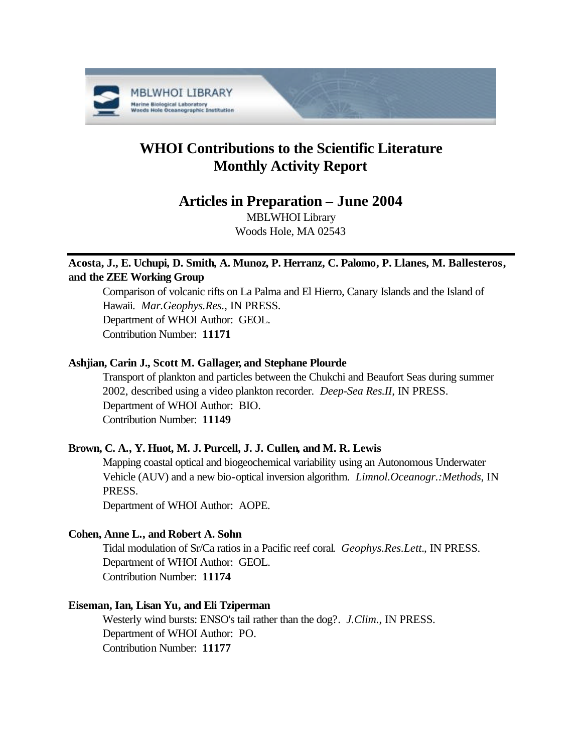

# **WHOI Contributions to the Scientific Literature Monthly Activity Report**

# **Articles in Preparation – June 2004**

MBLWHOI Library Woods Hole, MA 02543

# **Acosta, J., E. Uchupi, D. Smith, A. Munoz, P. Herranz, C. Palomo, P. Llanes, M. Ballesteros, and the ZEE Working Group**

Comparison of volcanic rifts on La Palma and El Hierro, Canary Islands and the Island of Hawaii. *Mar.Geophys.Res.*, IN PRESS. Department of WHOI Author: GEOL. Contribution Number: **11171**

## **Ashjian, Carin J., Scott M. Gallager, and Stephane Plourde**

Transport of plankton and particles between the Chukchi and Beaufort Seas during summer 2002, described using a video plankton recorder. *Deep-Sea Res.II*, IN PRESS. Department of WHOI Author: BIO. Contribution Number: **11149**

## **Brown, C. A., Y. Huot, M. J. Purcell, J. J. Cullen, and M. R. Lewis**

Mapping coastal optical and biogeochemical variability using an Autonomous Underwater Vehicle (AUV) and a new bio-optical inversion algorithm. *Limnol.Oceanogr.:Methods*, IN PRESS.

Department of WHOI Author: AOPE.

### **Cohen, Anne L., and Robert A. Sohn**

Tidal modulation of Sr/Ca ratios in a Pacific reef coral. *Geophys.Res.Lett.*, IN PRESS. Department of WHOI Author: GEOL. Contribution Number: **11174**

### **Eiseman, Ian, Lisan Yu, and Eli Tziperman**

Westerly wind bursts: ENSO's tail rather than the dog?. *J.Clim.*, IN PRESS. Department of WHOI Author: PO. Contribution Number: **11177**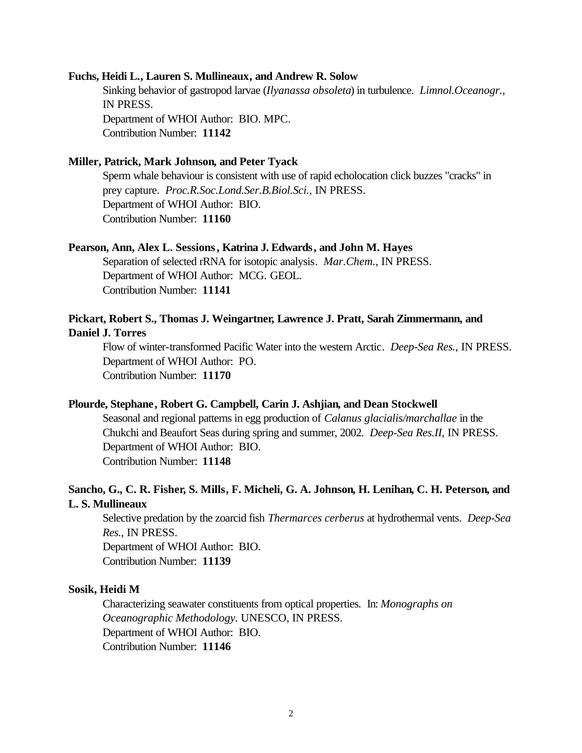#### **Fuchs, Heidi L., Lauren S. Mullineaux, and Andrew R. Solow**

Sinking behavior of gastropod larvae (*Ilyanassa obsoleta*) in turbulence. *Limnol.Oceanogr.*, IN PRESS. Department of WHOI Author: BIO. MPC. Contribution Number: **11142**

#### **Miller, Patrick, Mark Johnson, and Peter Tyack**

Sperm whale behaviour is consistent with use of rapid echolocation click buzzes "cracks" in prey capture. *Proc.R.Soc.Lond.Ser.B.Biol.Sci.*, IN PRESS. Department of WHOI Author: BIO. Contribution Number: **11160**

#### **Pearson, Ann, Alex L. Sessions, Katrina J. Edwards, and John M. Hayes**

Separation of selected rRNA for isotopic analysis. *Mar.Chem.*, IN PRESS. Department of WHOI Author: MCG. GEOL. Contribution Number: **11141**

### **Pickart, Robert S., Thomas J. Weingartner, Lawrence J. Pratt, Sarah Zimmermann, and Daniel J. Torres**

Flow of winter-transformed Pacific Water into the western Arctic. *Deep-Sea Res.*, IN PRESS. Department of WHOI Author: PO. Contribution Number: **11170**

#### **Plourde, Stephane, Robert G. Campbell, Carin J. Ashjian, and Dean Stockwell**

Seasonal and regional patterns in egg production of *Calanus glacialis/marchallae* in the Chukchi and Beaufort Seas during spring and summer, 2002. *Deep-Sea Res.II*, IN PRESS. Department of WHOI Author: BIO. Contribution Number: **11148**

### **Sancho, G., C. R. Fisher, S. Mills, F. Micheli, G. A. Johnson, H. Lenihan, C. H. Peterson, and L. S. Mullineaux**

Selective predation by the zoarcid fish *Thermarces cerberus* at hydrothermal vents. *Deep-Sea Res.*, IN PRESS. Department of WHOI Author: BIO. Contribution Number: **11139**

#### **Sosik, Heidi M**

Characterizing seawater constituents from optical properties. In: *Monographs on Oceanographic Methodology.* UNESCO, IN PRESS. Department of WHOI Author: BIO. Contribution Number: **11146**